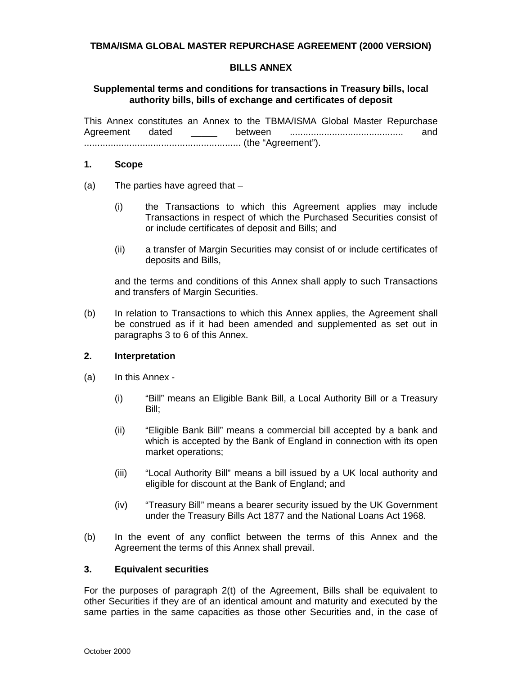## **TBMA/ISMA GLOBAL MASTER REPURCHASE AGREEMENT (2000 VERSION)**

## **BILLS ANNEX**

## **Supplemental terms and conditions for transactions in Treasury bills, local authority bills, bills of exchange and certificates of deposit**

This Annex constitutes an Annex to the TBMA/ISMA Global Master Repurchase Agreement dated \_\_\_\_\_ between ........................................... and ........................................................... (the "Agreement").

#### **1. Scope**

- (a) The parties have agreed that
	- (i) the Transactions to which this Agreement applies may include Transactions in respect of which the Purchased Securities consist of or include certificates of deposit and Bills; and
	- (ii) a transfer of Margin Securities may consist of or include certificates of deposits and Bills,

and the terms and conditions of this Annex shall apply to such Transactions and transfers of Margin Securities.

(b) In relation to Transactions to which this Annex applies, the Agreement shall be construed as if it had been amended and supplemented as set out in paragraphs 3 to 6 of this Annex.

### **2. Interpretation**

- (a) In this Annex
	- (i) "Bill" means an Eligible Bank Bill, a Local Authority Bill or a Treasury Bill;
	- (ii) "Eligible Bank Bill" means a commercial bill accepted by a bank and which is accepted by the Bank of England in connection with its open market operations;
	- (iii) "Local Authority Bill" means a bill issued by a UK local authority and eligible for discount at the Bank of England; and
	- (iv) "Treasury Bill" means a bearer security issued by the UK Government under the Treasury Bills Act 1877 and the National Loans Act 1968.
- (b) In the event of any conflict between the terms of this Annex and the Agreement the terms of this Annex shall prevail.

### **3. Equivalent securities**

For the purposes of paragraph 2(t) of the Agreement, Bills shall be equivalent to other Securities if they are of an identical amount and maturity and executed by the same parties in the same capacities as those other Securities and, in the case of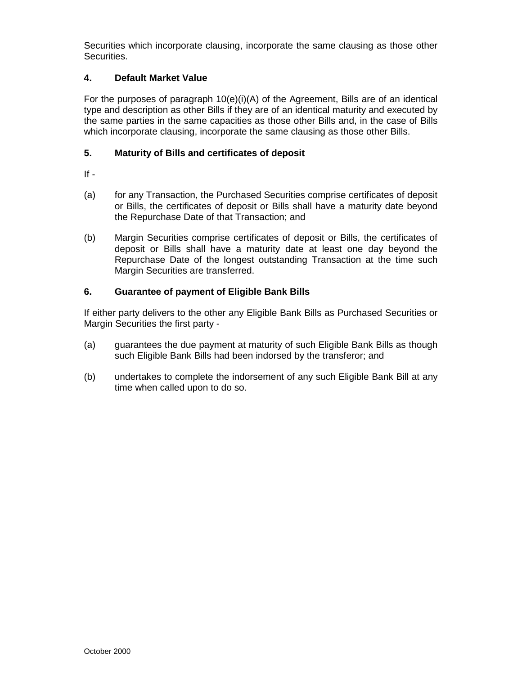Securities which incorporate clausing, incorporate the same clausing as those other Securities.

# **4. Default Market Value**

For the purposes of paragraph 10(e)(i)(A) of the Agreement, Bills are of an identical type and description as other Bills if they are of an identical maturity and executed by the same parties in the same capacities as those other Bills and, in the case of Bills which incorporate clausing, incorporate the same clausing as those other Bills.

# **5. Maturity of Bills and certificates of deposit**

 $If -$ 

- (a) for any Transaction, the Purchased Securities comprise certificates of deposit or Bills, the certificates of deposit or Bills shall have a maturity date beyond the Repurchase Date of that Transaction; and
- (b) Margin Securities comprise certificates of deposit or Bills, the certificates of deposit or Bills shall have a maturity date at least one day beyond the Repurchase Date of the longest outstanding Transaction at the time such Margin Securities are transferred.

# **6. Guarantee of payment of Eligible Bank Bills**

If either party delivers to the other any Eligible Bank Bills as Purchased Securities or Margin Securities the first party -

- (a) guarantees the due payment at maturity of such Eligible Bank Bills as though such Eligible Bank Bills had been indorsed by the transferor; and
- (b) undertakes to complete the indorsement of any such Eligible Bank Bill at any time when called upon to do so.